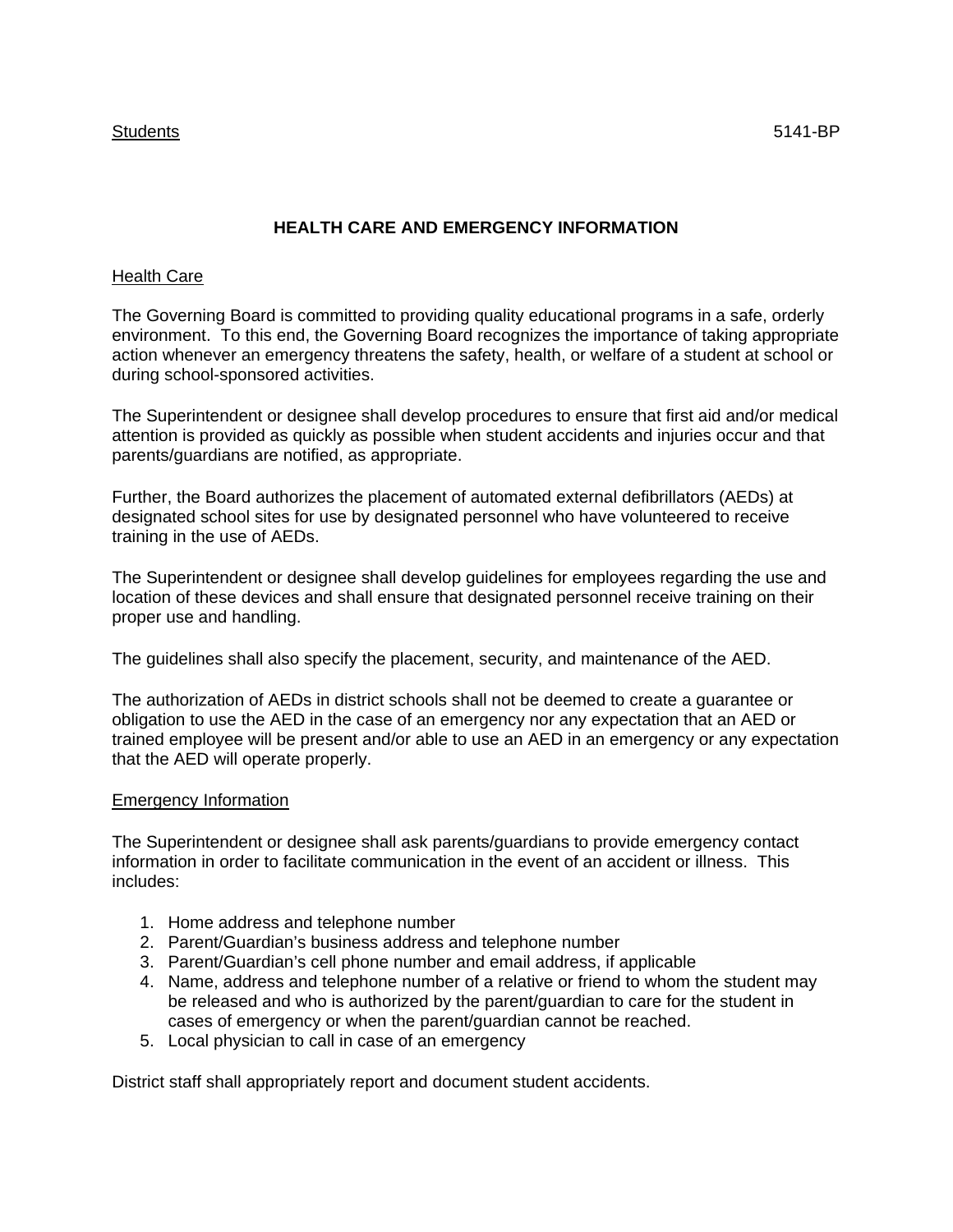## **HEALTH CARE AND EMERGENCY INFORMATION**

## Health Care

The Governing Board is committed to providing quality educational programs in a safe, orderly environment. To this end, the Governing Board recognizes the importance of taking appropriate action whenever an emergency threatens the safety, health, or welfare of a student at school or during school-sponsored activities.

The Superintendent or designee shall develop procedures to ensure that first aid and/or medical attention is provided as quickly as possible when student accidents and injuries occur and that parents/guardians are notified, as appropriate.

Further, the Board authorizes the placement of automated external defibrillators (AEDs) at designated school sites for use by designated personnel who have volunteered to receive training in the use of AEDs.

The Superintendent or designee shall develop guidelines for employees regarding the use and location of these devices and shall ensure that designated personnel receive training on their proper use and handling.

The guidelines shall also specify the placement, security, and maintenance of the AED.

The authorization of AEDs in district schools shall not be deemed to create a guarantee or obligation to use the AED in the case of an emergency nor any expectation that an AED or trained employee will be present and/or able to use an AED in an emergency or any expectation that the AED will operate properly.

## Emergency Information

The Superintendent or designee shall ask parents/guardians to provide emergency contact information in order to facilitate communication in the event of an accident or illness. This includes:

- 1. Home address and telephone number
- 2. Parent/Guardian's business address and telephone number
- 3. Parent/Guardian's cell phone number and email address, if applicable
- 4. Name, address and telephone number of a relative or friend to whom the student may be released and who is authorized by the parent/guardian to care for the student in cases of emergency or when the parent/guardian cannot be reached.
- 5. Local physician to call in case of an emergency

District staff shall appropriately report and document student accidents.